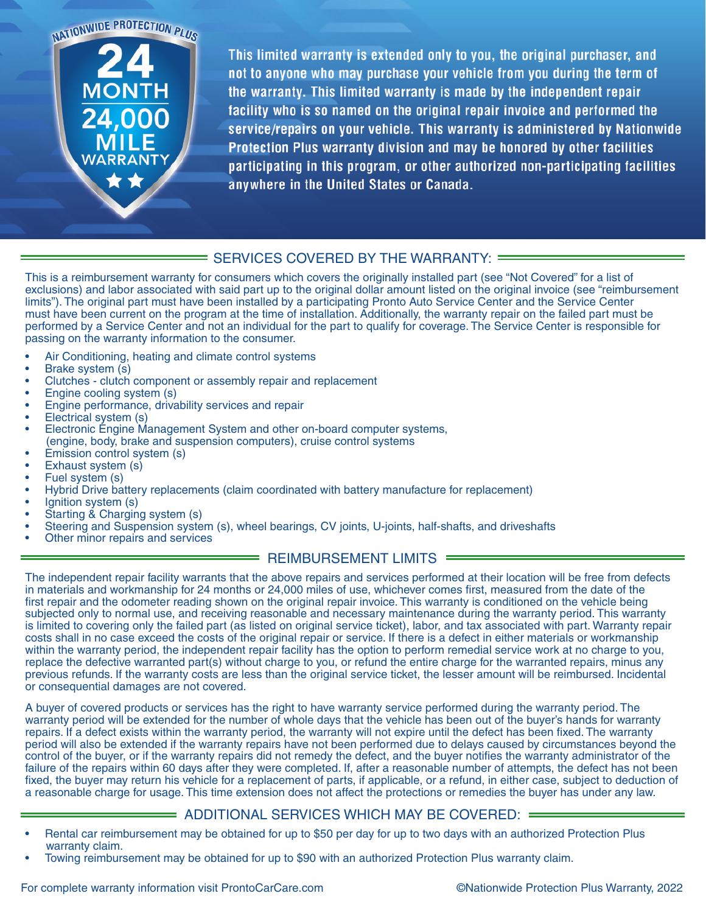NATIONWIDE PROTECTION PLUS

This limited warranty is extended only to you, the original purchaser, and not to anyone who may purchase your vehicle from you during the term of the warranty. This limited warranty is made by the independent repair facility who is so named on the original repair invoice and performed the service/repairs on your vehicle. This warranty is administered by Nationwide Protection Plus warranty division and may be honored by other facilities participating in this program, or other authorized non-participating facilities anywhere in the United States or Canada.

## = SERVICES COVERED BY THE WARRANTY: =

This is a reimbursement warranty for consumers which covers the originally installed part (see "Not Covered" for a list of exclusions) and labor associated with said part up to the original dollar amount listed on the original invoice (see "reimbursement limits"). The original part must have been installed by a participating Pronto Auto Service Center and the Service Center must have been current on the program at the time of installation. Additionally, the warranty repair on the failed part must be performed by a Service Center and not an individual for the part to qualify for coverage. The Service Center is responsible for passing on the warranty information to the consumer.

- Air Conditioning, heating and climate control systems
- Brake system (s)
- Clutches clutch component or assembly repair and replacement
- Engine cooling system (s)
- Engine performance, drivability services and repair
- Electrical system (s)
- Electronic Engine Management System and other on-board computer systems, (engine, body, brake and suspension computers), cruise control systems
- Emission control system (s)
- Exhaust system (s)
- Fuel system (s)
- Hybrid Drive battery replacements (claim coordinated with battery manufacture for replacement)
- Ignition system (s)
- Starting & Charging system (s)
- Steering and Suspension system (s), wheel bearings, CV joints, U-joints, half-shafts, and driveshafts
- Other minor repairs and services

## REIMBURSEMENT LIMITS =

The independent repair facility warrants that the above repairs and services performed at their location will be free from defects in materials and workmanship for 24 months or 24,000 miles of use, whichever comes first, measured from the date of the first repair and the odometer reading shown on the original repair invoice. This warranty is conditioned on the vehicle being subjected only to normal use, and receiving reasonable and necessary maintenance during the warranty period. This warranty is limited to covering only the failed part (as listed on original service ticket), labor, and tax associated with part. Warranty repair costs shall in no case exceed the costs of the original repair or service. If there is a defect in either materials or workmanship within the warranty period, the independent repair facility has the option to perform remedial service work at no charge to you, replace the defective warranted part(s) without charge to you, or refund the entire charge for the warranted repairs, minus any previous refunds. If the warranty costs are less than the original service ticket, the lesser amount will be reimbursed. Incidental or consequential damages are not covered.

A buyer of covered products or services has the right to have warranty service performed during the warranty period. The warranty period will be extended for the number of whole days that the vehicle has been out of the buyer's hands for warranty repairs. If a defect exists within the warranty period, the warranty will not expire until the defect has been fixed. The warranty period will also be extended if the warranty repairs have not been performed due to delays caused by circumstances beyond the control of the buyer, or if the warranty repairs did not remedy the defect, and the buyer notifies the warranty administrator of the failure of the repairs within 60 days after they were completed. If, after a reasonable number of attempts, the defect has not been fixed, the buyer may return his vehicle for a replacement of parts, if applicable, or a refund, in either case, subject to deduction of a reasonable charge for usage. This time extension does not affect the protections or remedies the buyer has under any law.

## $\implies$  ADDITIONAL SERVICES WHICH MAY BE COVERED: =

- Rental car reimbursement may be obtained for up to \$50 per day for up to two days with an authorized Protection Plus warranty claim.
- Towing reimbursement may be obtained for up to \$90 with an authorized Protection Plus warranty claim.